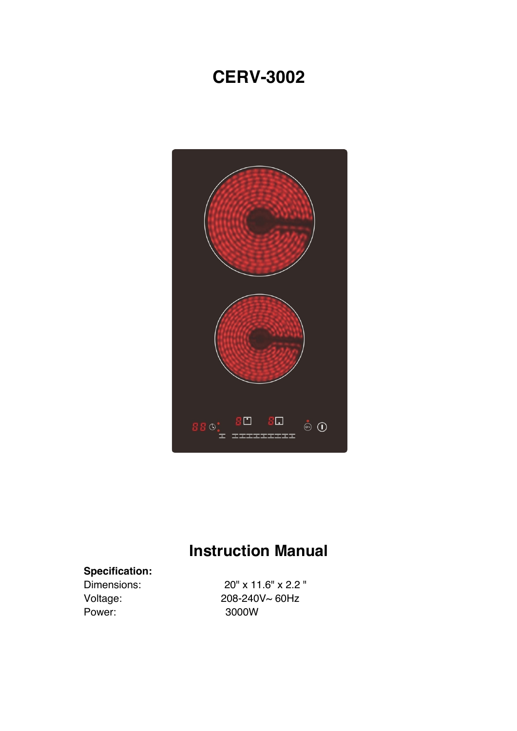## **CERV-3002**



# **Instruction Manual**

## **Specification:**

Power: 3000W

Dimensions: 20" x 11.6" x 2.2 " Voltage: 208-240V~ 60Hz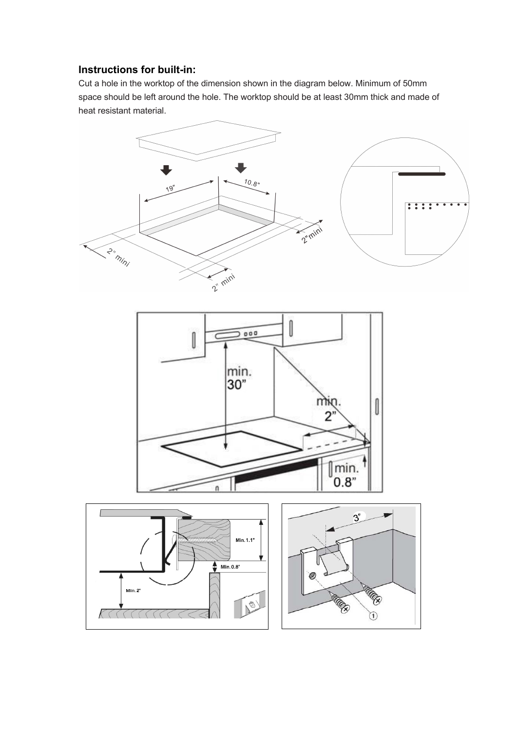## **Instructions for built-in:**

Cut a hole in the worktop of the dimension shown in the diagram below. Minimum of 50mm space should be left around the hole. The worktop should be at least 30mm thick and made of heat resistant material.

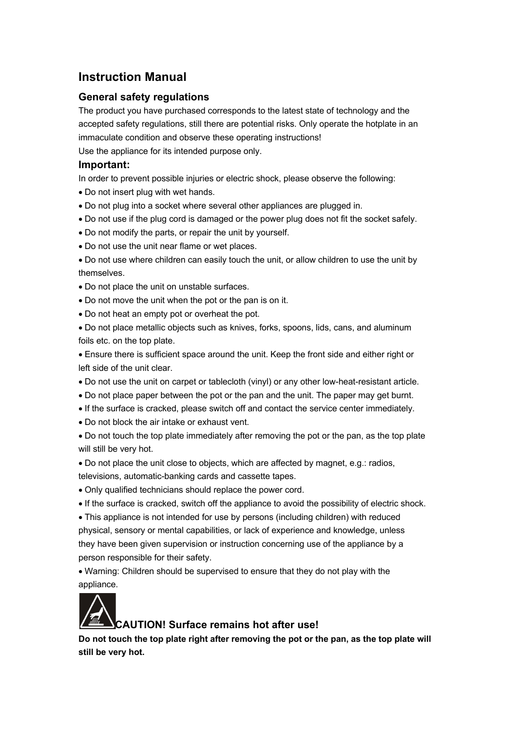## **Instruction Manual**

## **General safety regulations**

The product you have purchased corresponds to the latest state of technology and the accepted safety regulations, still there are potential risks. Only operate the hotplate in an immaculate condition and observe these operating instructions!

Use the appliance for its intended purpose only.

#### **Important:**

In order to prevent possible injuries or electric shock, please observe the following:

- Do not insert plug with wet hands.
- Do not plug into a socket where several other appliances are plugged in.
- Do not use if the plug cord is damaged or the power plug does not fit the socket safely.
- Do not modify the parts, or repair the unit by yourself.
- Do not use the unit near flame or wet places.
- Do not use where children can easily touch the unit, or allow children to use the unit by themselves.
- Do not place the unit on unstable surfaces.
- Do not move the unit when the pot or the pan is on it.
- Do not heat an empty pot or overheat the pot.
- Do not place metallic objects such as knives, forks, spoons, lids, cans, and aluminum foils etc. on the top plate.

• Ensure there is sufficient space around the unit. Keep the front side and either right or left side of the unit clear.

- Do not use the unit on carpet or tablecloth (vinyl) or any other low-heat-resistant article.
- Do not place paper between the pot or the pan and the unit. The paper may get burnt.
- If the surface is cracked, please switch off and contact the service center immediately.
- Do not block the air intake or exhaust vent.
- Do not touch the top plate immediately after removing the pot or the pan, as the top plate will still be very hot.
- Do not place the unit close to objects, which are affected by magnet, e.g.: radios, televisions, automatic-banking cards and cassette tapes.
- Only qualified technicians should replace the power cord.
- If the surface is cracked, switch off the appliance to avoid the possibility of electric shock.
- This appliance is not intended for use by persons (including children) with reduced physical, sensory or mental capabilities, or lack of experience and knowledge, unless they have been given supervision or instruction concerning use of the appliance by a person responsible for their safety.

• Warning: Children should be supervised to ensure that they do not play with the appliance.



## **CAUTION! Surface remains hot after use!**

**Do not touch the top plate right after removing the pot or the pan, as the top plate will still be very hot.**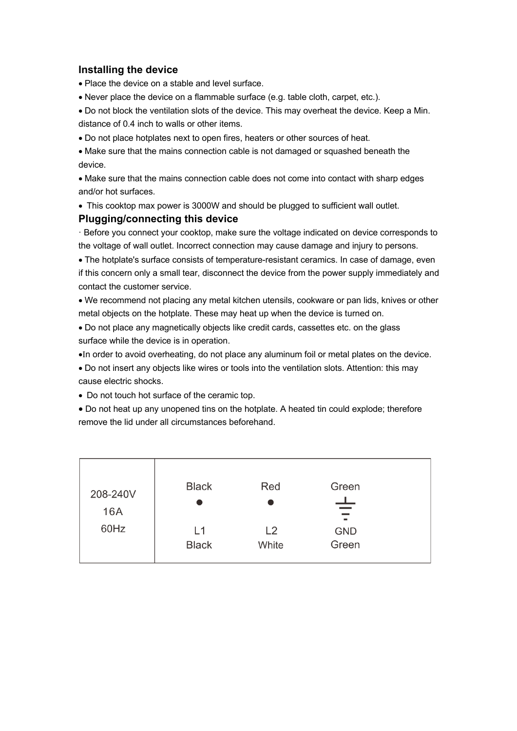### **Installing the device**

• Place the device on a stable and level surface.

• Never place the device on a flammable surface (e.g. table cloth, carpet, etc.).

• Do not block the ventilation slots of the device. This may overheat the device. Keep a Min. distance of 0.4 inch to walls or other items.

• Do not place hotplates next to open fires, heaters or other sources of heat.

• Make sure that the mains connection cable is not damaged or squashed beneath the device.

• Make sure that the mains connection cable does not come into contact with sharp edges and/or hot surfaces.

• This cooktop max power is 3000W and should be plugged to sufficient wall outlet.

#### **Plugging/connecting this device**

· Before you connect your cooktop, make sure the voltage indicated on device corresponds to the voltage of wall outlet. Incorrect connection may cause damage and injury to persons.

• The hotplate's surface consists of temperature-resistant ceramics. In case of damage, even if this concern only a small tear, disconnect the device from the power supply immediately and contact the customer service.

• We recommend not placing any metal kitchen utensils, cookware or pan lids, knives or other metal objects on the hotplate. These may heat up when the device is turned on.

• Do not place any magnetically objects like credit cards, cassettes etc. on the glass surface while the device is in operation.

•In order to avoid overheating, do not place any aluminum foil or metal plates on the device.

• Do not insert any objects like wires or tools into the ventilation slots. Attention: this may cause electric shocks.

• Do not touch hot surface of the ceramic top.

• Do not heat up any unopened tins on the hotplate. A heated tin could explode; therefore remove the lid under all circumstances beforehand.

| 208-240V<br>16A<br>60Hz | <b>Black</b>       | Red         | Green<br>ᅩ<br>$\blacksquare$ |  |
|-------------------------|--------------------|-------------|------------------------------|--|
|                         | L1<br><b>Black</b> | L2<br>White | <b>GND</b><br>Green          |  |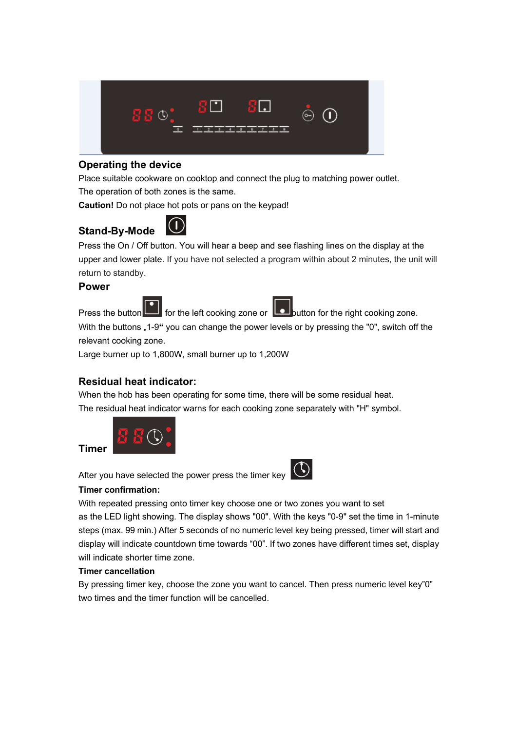

## **Operating the device**

Place suitable cookware on cooktop and connect the plug to matching power outlet. The operation of both zones is the same.

**Caution!** Do not place hot pots or pans on the keypad!

## **Stand-By-Mode**



Press the On / Off button. You will hear a beep and see flashing lines on the display at the upper and lower plate. If you have not selected a program within about 2 minutes, the unit will return to standby.

## **Power**

**Timer**





Press the button  $\Box$  for the left cooking zone or  $\Box$  button for the right cooking zone.

With the buttons "1-9" you can change the power levels or by pressing the "0", switch off the relevant cooking zone.

Large burner up to 1,800W, small burner up to 1,200W

## **Residual heat indicator:**

When the hob has been operating for some time, there will be some residual heat. The residual heat indicator warns for each cooking zone separately with "H" symbol.



After you have selected the power press the timer key



#### **Timer confirmation:**

With repeated pressing onto timer key choose one or two zones you want to set as the LED light showing. The display shows "00". With the keys "0-9" set the time in 1-minute steps (max. 99 min.) After 5 seconds of no numeric level key being pressed, timer will start and display will indicate countdown time towards "00". If two zones have different times set, display will indicate shorter time zone.

### **Timer cancellation**

By pressing timer key, choose the zone you want to cancel. Then press numeric level key"0" two times and the timer function will be cancelled.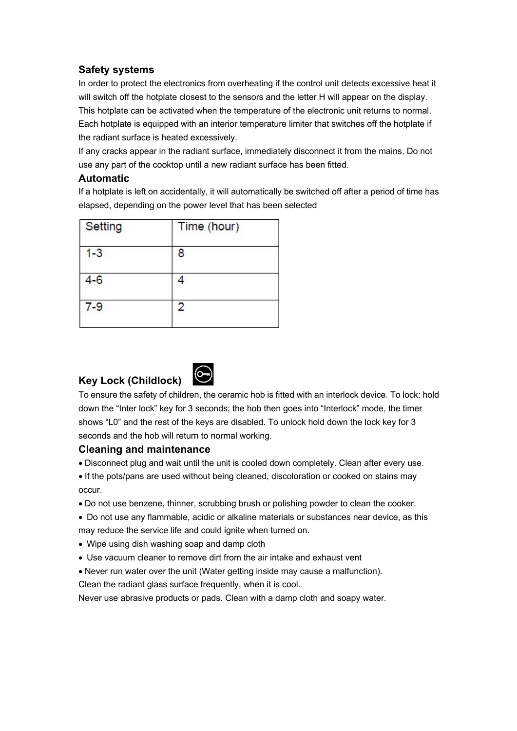## **Safety systems**

In order to protect the electronics from overheating if the control unit detects excessive heat it will switch off the hotplate closest to the sensors and the letter H will appear on the display. This hotplate can be activated when the temperature of the electronic unit returns to normal. Each hotplate is equipped with an interior temperature limiter that switches off the hotplate if the radiant surface is heated excessively.

If any cracks appear in the radiant surface, immediately disconnect it from the mains. Do not use any part of the cooktop until a new radiant surface has been fitted.

### **Automatic**

If a hotplate is left on accidentally, it will automatically be switched off after a period of time has elapsed, depending on the power level that has been selected

| Setting | Time (hour) |  |
|---------|-------------|--|
| $1 - 3$ | 8           |  |
| $4 - 6$ |             |  |
| $7 - 9$ | 2           |  |
|         |             |  |

## **Key Lock (Childlock)**



To ensure the safety of children, the ceramic hob is fitted with an interlock device. To lock: hold down the "Inter lock" key for 3 seconds; the hob then goes into "Interlock" mode, the timer shows "L0" and the rest of the keys are disabled. To unlock hold down the lock key for 3 seconds and the hob will return to normal working.

## **Cleaning and maintenance**

- Disconnect plug and wait until the unit is cooled down completely. Clean after every use.
- If the pots/pans are used without being cleaned, discoloration or cooked on stains may occur.
- Do not use benzene, thinner, scrubbing brush or polishing powder to clean the cooker.
- Do not use any flammable, acidic or alkaline materials or substances near device, as this may reduce the service life and could ignite when turned on.
- Wipe using dish washing soap and damp cloth
- Use vacuum cleaner to remove dirt from the air intake and exhaust vent
- Never run water over the unit (Water getting inside may cause a malfunction).

Clean the radiant glass surface frequently, when it is cool.

Never use abrasive products or pads. Clean with a damp cloth and soapy water.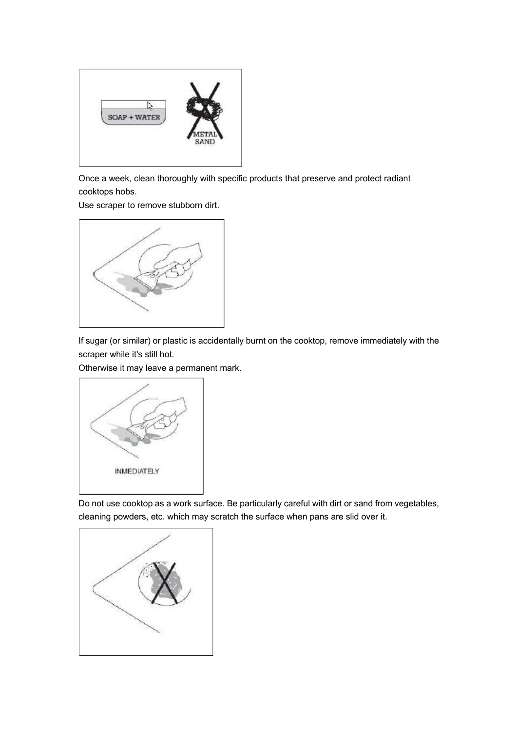

Once a week, clean thoroughly with specific products that preserve and protect radiant cooktops hobs.

Use scraper to remove stubborn dirt.



If sugar (or similar) or plastic is accidentally burnt on the cooktop, remove immediately with the scraper while it's still hot.

Otherwise it may leave a permanent mark.



Do not use cooktop as a work surface. Be particularly careful with dirt or sand from vegetables, cleaning powders, etc. which may scratch the surface when pans are slid over it.

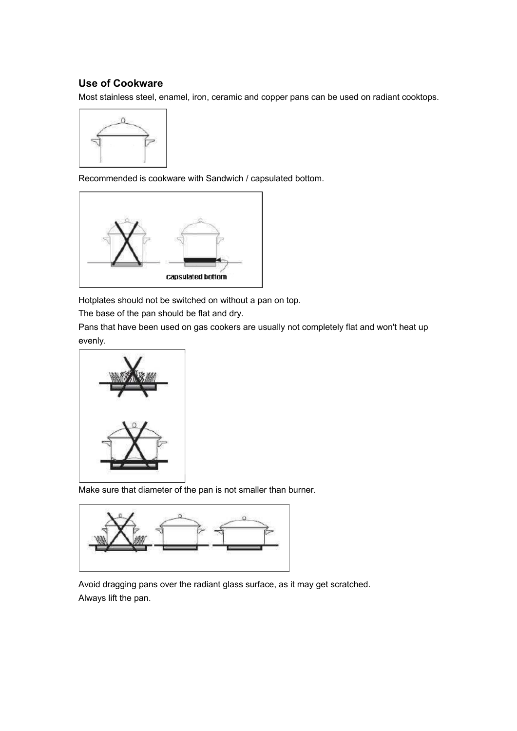## **Use of Cookware**

Most stainless steel, enamel, iron, ceramic and copper pans can be used on radiant cooktops.



Recommended is cookware with Sandwich / capsulated bottom.



Hotplates should not be switched on without a pan on top.

The base of the pan should be flat and dry.

Pans that have been used on gas cookers are usually not completely flat and won't heat up evenly.



Make sure that diameter of the pan is not smaller than burner.



Avoid dragging pans over the radiant glass surface, as it may get scratched. Always lift the pan.